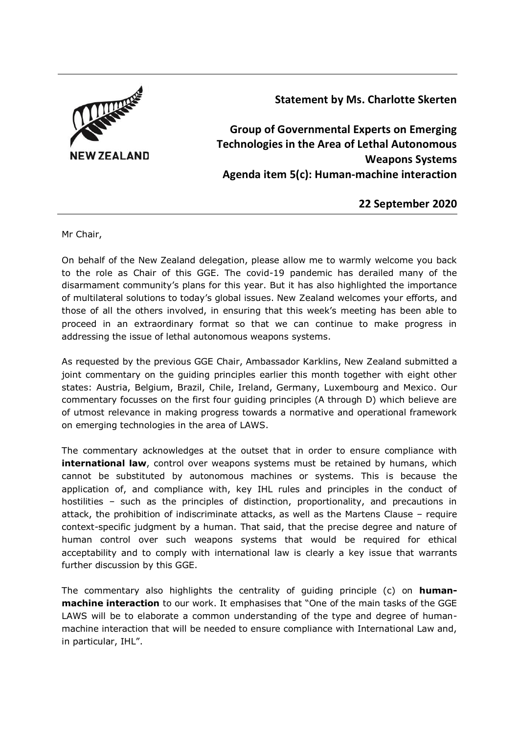

**Statement by Ms. Charlotte Skerten**

**Group of Governmental Experts on Emerging Technologies in the Area of Lethal Autonomous Weapons Systems Agenda item 5(c): Human-machine interaction**

**22 September 2020**

Mr Chair,

On behalf of the New Zealand delegation, please allow me to warmly welcome you back to the role as Chair of this GGE. The covid-19 pandemic has derailed many of the disarmament community's plans for this year. But it has also highlighted the importance of multilateral solutions to today's global issues. New Zealand welcomes your efforts, and those of all the others involved, in ensuring that this week's meeting has been able to proceed in an extraordinary format so that we can continue to make progress in addressing the issue of lethal autonomous weapons systems.

As requested by the previous GGE Chair, Ambassador Karklins, New Zealand submitted a joint commentary on the guiding principles earlier this month together with eight other states: Austria, Belgium, Brazil, Chile, Ireland, Germany, Luxembourg and Mexico. Our commentary focusses on the first four guiding principles (A through D) which believe are of utmost relevance in making progress towards a normative and operational framework on emerging technologies in the area of LAWS.

The commentary acknowledges at the outset that in order to ensure compliance with **international law**, control over weapons systems must be retained by humans, which cannot be substituted by autonomous machines or systems. This is because the application of, and compliance with, key IHL rules and principles in the conduct of hostilities – such as the principles of distinction, proportionality, and precautions in attack, the prohibition of indiscriminate attacks, as well as the Martens Clause – require context-specific judgment by a human. That said, that the precise degree and nature of human control over such weapons systems that would be required for ethical acceptability and to comply with international law is clearly a key issue that warrants further discussion by this GGE.

The commentary also highlights the centrality of guiding principle (c) on **humanmachine interaction** to our work. It emphasises that "One of the main tasks of the GGE LAWS will be to elaborate a common understanding of the type and degree of humanmachine interaction that will be needed to ensure compliance with International Law and, in particular, IHL".